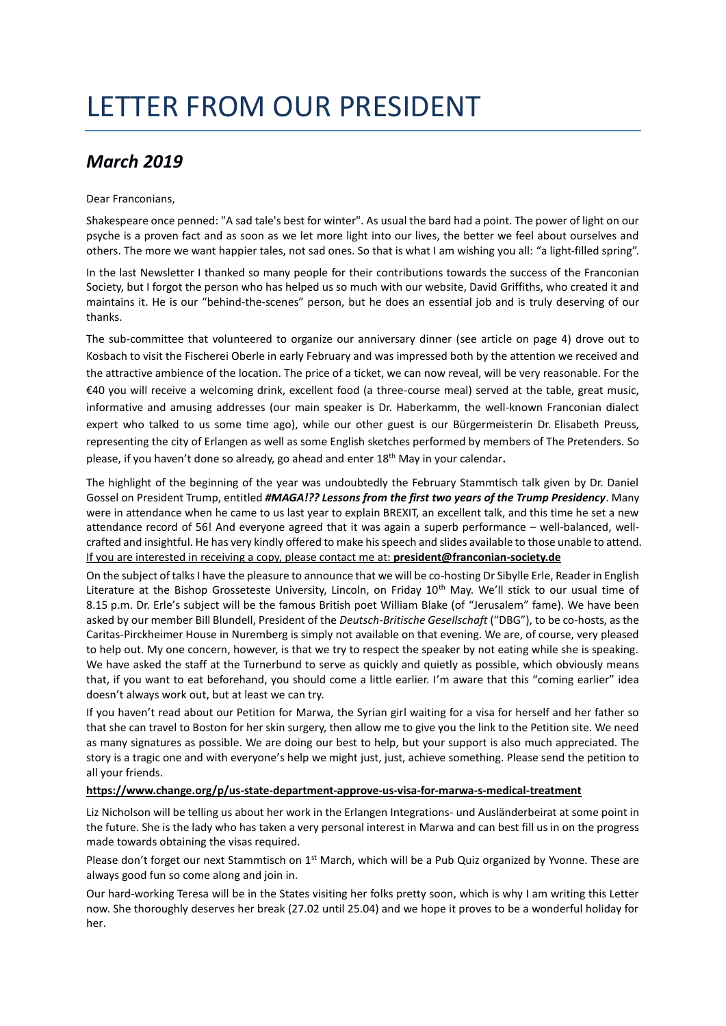## LETTER FROM OUR PRESIDENT

## *March 2019*

## Dear Franconians,

Shakespeare once penned: "A sad tale's best for winter". As usual the bard had a point. The power of light on our psyche is a proven fact and as soon as we let more light into our lives, the better we feel about ourselves and others. The more we want happier tales, not sad ones. So that is what I am wishing you all: "a light-filled spring".

In the last Newsletter I thanked so many people for their contributions towards the success of the Franconian Society, but I forgot the person who has helped us so much with our website, David Griffiths, who created it and maintains it. He is our "behind-the-scenes" person, but he does an essential job and is truly deserving of our thanks.

The sub-committee that volunteered to organize our anniversary dinner (see article on page 4) drove out to Kosbach to visit the Fischerei Oberle in early February and was impressed both by the attention we received and the attractive ambience of the location. The price of a ticket, we can now reveal, will be very reasonable. For the €40 you will receive a welcoming drink, excellent food (a three-course meal) served at the table, great music, informative and amusing addresses (our main speaker is Dr. Haberkamm, the well-known Franconian dialect expert who talked to us some time ago), while our other guest is our Bürgermeisterin Dr. Elisabeth Preuss, representing the city of Erlangen as well as some English sketches performed by members of The Pretenders. So please, if you haven't done so already, go ahead and enter 18th May in your calendar**.**

The highlight of the beginning of the year was undoubtedly the February Stammtisch talk given by Dr. Daniel Gossel on President Trump, entitled *#MAGA!?? Lessons from the first two years of the Trump Presidency*. Many were in attendance when he came to us last year to explain BREXIT, an excellent talk, and this time he set a new attendance record of 56! And everyone agreed that it was again a superb performance – well-balanced, wellcrafted and insightful. He has very kindly offered to make his speech and slides available to those unable to attend. If you are interested in receiving a copy, please contact me at: **president@franconian-society.de**

On the subject of talks I have the pleasure to announce that we will be co-hosting Dr Sibylle Erle, Reader in English Literature at the Bishop Grosseteste University, Lincoln, on Friday 10<sup>th</sup> May. We'll stick to our usual time of 8.15 p.m. Dr. Erle's subject will be the famous British poet William Blake (of "Jerusalem" fame). We have been asked by our member Bill Blundell, President of the *Deutsch-Britische Gesellschaft* ("DBG"), to be co-hosts, as the Caritas-Pirckheimer House in Nuremberg is simply not available on that evening. We are, of course, very pleased to help out. My one concern, however, is that we try to respect the speaker by not eating while she is speaking. We have asked the staff at the Turnerbund to serve as quickly and quietly as possible, which obviously means that, if you want to eat beforehand, you should come a little earlier. I'm aware that this "coming earlier" idea doesn't always work out, but at least we can try.

If you haven't read about our Petition for Marwa, the Syrian girl waiting for a visa for herself and her father so that she can travel to Boston for her skin surgery, then allow me to give you the link to the Petition site. We need as many signatures as possible. We are doing our best to help, but your support is also much appreciated. The story is a tragic one and with everyone's help we might just, just, achieve something. Please send the petition to all your friends.

## **<https://www.change.org/p/us-state-department-approve-us-visa-for-marwa-s-medical-treatment>**

Liz Nicholson will be telling us about her work in the Erlangen Integrations- und Ausländerbeirat at some point in the future. She is the lady who has taken a very personal interest in Marwa and can best fill us in on the progress made towards obtaining the visas required.

Please don't forget our next Stammtisch on 1<sup>st</sup> March, which will be a Pub Quiz organized by Yvonne. These are always good fun so come along and join in.

Our hard-working Teresa will be in the States visiting her folks pretty soon, which is why I am writing this Letter now. She thoroughly deserves her break (27.02 until 25.04) and we hope it proves to be a wonderful holiday for her.